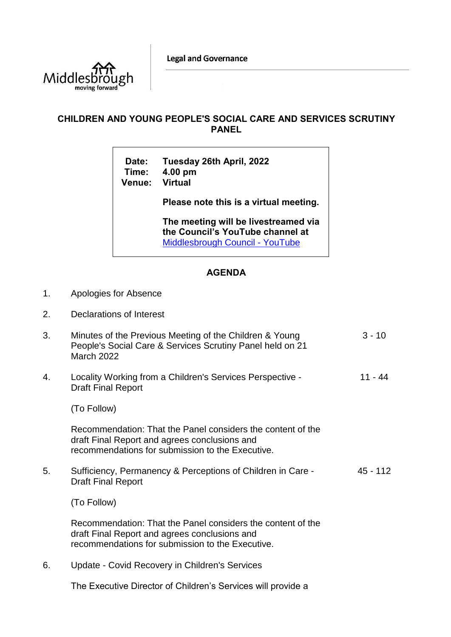**Legal and Governance** 



## **CHILDREN AND YOUNG PEOPLE'S SOCIAL CARE AND SERVICES SCRUTINY PANEL**

**Date: Tuesday 26th April, 2022 Time: 4.00 pm Venue:** 

**Please note this is a virtual meeting.** 

**The meeting will be livestreamed via the Council's YouTube channel at**  [Middlesbrough Council -](https://www.youtube.com/user/middlesbroughcouncil) YouTube

## **AGENDA**

- 1. Apologies for Absence
- 2. Declarations of Interest

| 3. | Minutes of the Previous Meeting of the Children & Young<br>People's Social Care & Services Scrutiny Panel held on 21<br><b>March 2022</b>                        | $3 - 10$ |
|----|------------------------------------------------------------------------------------------------------------------------------------------------------------------|----------|
| 4. | Locality Working from a Children's Services Perspective -<br><b>Draft Final Report</b>                                                                           | 11 - 44  |
|    | (To Follow)                                                                                                                                                      |          |
|    | Recommendation: That the Panel considers the content of the<br>draft Final Report and agrees conclusions and<br>recommendations for submission to the Executive. |          |
| 5. | Sufficiency, Permanency & Perceptions of Children in Care -<br><b>Draft Final Report</b>                                                                         | 45 - 112 |
|    | (To Follow)                                                                                                                                                      |          |
|    | Recommendation: That the Panel considers the content of the<br>draft Final Report and agrees conclusions and<br>recommendations for submission to the Executive. |          |

6. Update - Covid Recovery in Children's Services

The Executive Director of Children's Services will provide a